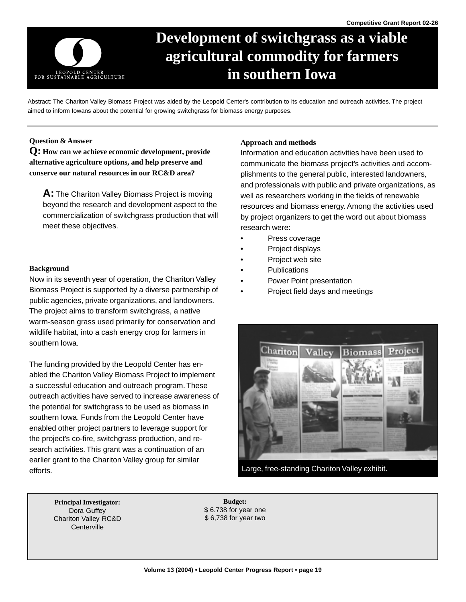

# **Development of switchgrass as a viable agricultural commodity for farmers in southern Iowa**

Abstract: The Chariton Valley Biomass Project was aided by the Leopold Center's contribution to its education and outreach activities. The project aimed to inform Iowans about the potential for growing switchgrass for biomass energy purposes.

## **Question & Answer**

**Q: How can we achieve economic development, provide alternative agriculture options, and help preserve and conserve our natural resources in our RC&D area?** 

**A:** The Chariton Valley Biomass Project is moving beyond the research and development aspect to the commercialization of switchgrass production that will meet these objectives.

#### **Background**

Now in its seventh year of operation, the Chariton Valley Biomass Project is supported by a diverse partnership of public agencies, private organizations, and landowners. The project aims to transform switchgrass, a native warm-season grass used primarily for conservation and wildlife habitat, into a cash energy crop for farmers in southern Iowa.

The funding provided by the Leopold Center has enabled the Chariton Valley Biomass Project to implement a successful education and outreach program. These outreach activities have served to increase awareness of the potential for switchgrass to be used as biomass in southern Iowa. Funds from the Leopold Center have enabled other project partners to leverage support for the project's co-fire, switchgrass production, and research activities. This grant was a continuation of an earlier grant to the Chariton Valley group for similar efforts.

#### **Approach and methods**

Information and education activities have been used to communicate the biomass project's activities and accomplishments to the general public, interested landowners, and professionals with public and private organizations, as well as researchers working in the fields of renewable resources and biomass energy. Among the activities used by project organizers to get the word out about biomass research were:

- Press coverage
- Project displays
- Project web site
- **Publications**
- Power Point presentation
- Project field days and meetings



Large, free-standing Chariton Valley exhibit.

**Principal Investigator: Budget: Budget:** Chariton Valley RC&D **Centerville** 

Dora Guffey  $$ 6.738$  for year one<br>  $$ 6.738$  for year two<br>  $$ 6,738$  for year two